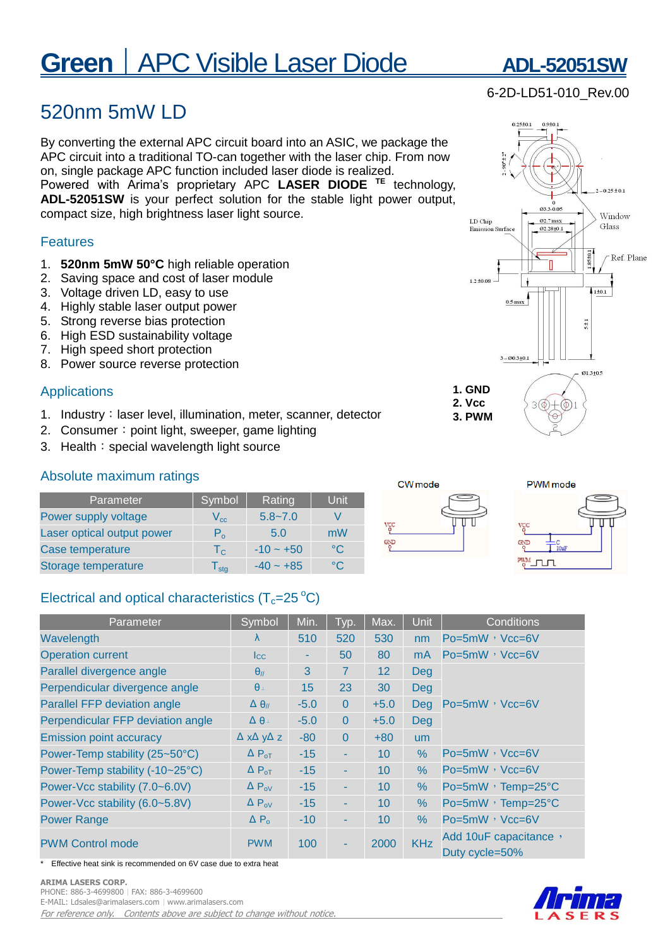# **Green** | APC Visible Laser Diode ADL-52051SW

## 520nm 5mW LD

By converting the external APC circuit board into an ASIC, we package the APC circuit into a traditional TO-can together with the laser chip. From now on, single package APC function included laser diode is realized.

Powered with Arima's proprietary APC **LASER DIODE TE** technology, **ADL-52051SW** is your perfect solution for the stable light power output, compact size, high brightness laser light source.

#### Features

- 1. **520nm 5mW 50°C** high reliable operation
- 2. Saving space and cost of laser module
- 3. Voltage driven LD, easy to use
- 4. Highly stable laser output power
- 5. Strong reverse bias protection
- 6. High ESD sustainability voltage
- 7. High speed short protection
- 8. Power source reverse protection

#### Applications

- 1. Industry: laser level, illumination, meter, scanner, detector
- 2. Consumer: point light, sweeper, game lighting
- 3. Health: special wavelength light source

#### Absolute maximum ratings

| Parameter                  | Symbol                      | Rating      | Unit       |
|----------------------------|-----------------------------|-------------|------------|
| Power supply voltage       | $V_{cc}$                    | $5.8 - 7.0$ |            |
| Laser optical output power | $P_{o}$                     | 5.0         | mW         |
| Case temperature           | $T_{C}$                     | $-10 - +50$ | $^{\circ}$ |
| Storage temperature        | $\mathsf{I}_{\mathsf{stg}}$ | $-40 - +85$ | °∩         |

### Electrical and optical characteristics  $(T_c=25\degree C)$

| Parameter                           | Symbol                           | Min.   | Typ.     | Max.            | Unit           | Conditions                              |  |
|-------------------------------------|----------------------------------|--------|----------|-----------------|----------------|-----------------------------------------|--|
| Wavelength                          | λ                                | 510    | 520      | 530             | nm             | $Po = 5mW$ , $Vcc = 6V$                 |  |
| <b>Operation current</b>            | $I_{\rm CC}$                     | ٠      | 50       | 80              | m <sub>A</sub> | Po=5mW, Vcc=6V                          |  |
| Parallel divergence angle           | $\theta$ <sub>//</sub>           | 3      | 7        | 12              | <b>Deg</b>     |                                         |  |
| Perpendicular divergence angle      | $\theta$                         | 15     | 23       | 30              | <b>Deg</b>     | Po=5mW, Vcc=6V                          |  |
| <b>Parallel FFP deviation angle</b> | $\Delta \theta$                  | $-5.0$ | $\Omega$ | $+5.0$          | Deg            |                                         |  |
| Perpendicular FFP deviation angle   | $\Delta \theta$                  | $-5.0$ | $\Omega$ | $+5.0$          | <b>Deg</b>     |                                         |  |
| <b>Emission point accuracy</b>      | $\Delta$ x $\Delta$ y $\Delta$ z | $-80$  | $\Omega$ | $+80$           | um             |                                         |  |
| Power-Temp stability (25~50°C)      | $\Delta P_{\text{OT}}$           | $-15$  | ٠        | 10 <sup>1</sup> | $\%$           | Po=5mW, Vcc=6V                          |  |
| Power-Temp stability (-10~25°C)     | $\Delta P_{\text{OT}}$           | $-15$  | ٠        | 10              | $\%$           | $Po = 5mW$ , $Vcc = 6V$                 |  |
| Power-Vcc stability (7.0~6.0V)      | $\Delta P_{ov}$                  | $-15$  | ٠        | 10 <sup>1</sup> | %              | Po=5mW, Temp=25°C                       |  |
| Power-Vcc stability (6.0~5.8V)      | $\Delta P_{ov}$                  | $-15$  | ٠        | 10              | %              | Po=5mW, Temp=25°C                       |  |
| <b>Power Range</b>                  | $\Delta P_{o}$                   | $-10$  | ٠        | 10              | $\%$           | Po=5mW, Vcc=6V                          |  |
| <b>PWM Control mode</b>             | <b>PWM</b>                       | 100    | ٠        | 2000            | <b>KHz</b>     | Add 10uF capacitance,<br>Duty cycle=50% |  |

Effective heat sink is recommended on 6V case due to extra heat

#### **ARIMA LASERS CORP.**

PHONE: 886-3-4699800︱FAX: 886-3-4699600 E-MAIL: Ldsales@arimalasers.com︱www.arimalasers.com

For reference only. Contents above are subject to change without notice.



**1. GND 2. Vcc 3. PWM**

CW mode

γgι GND  $3 - 60.3 + 0.1$ 



 $\Theta$ 

 $3<sup>(</sup> \phi)$ 

01.3±0.5



### 6-2D-LD51-010\_Rev.00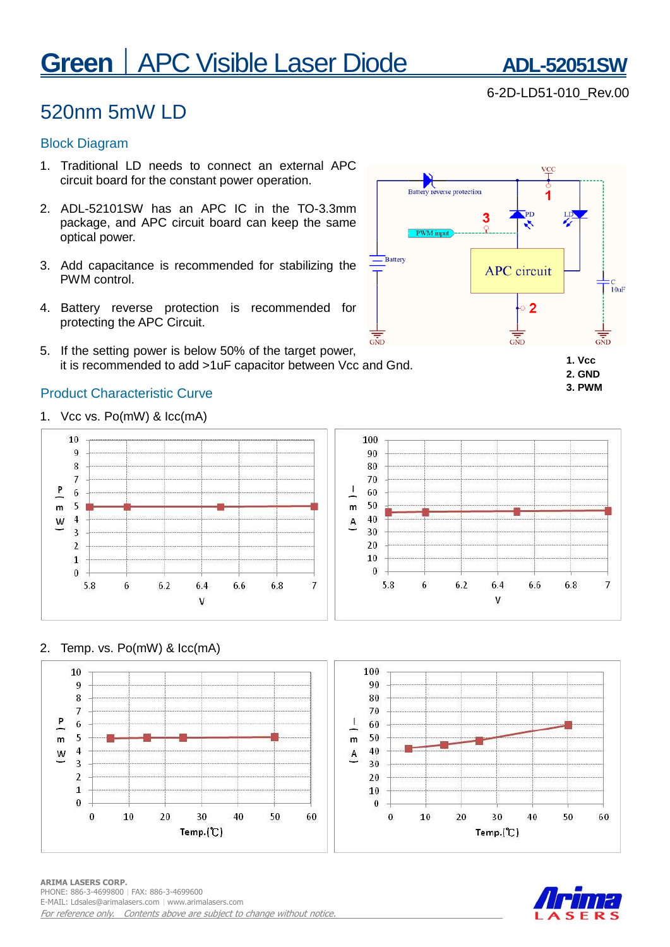# **Green** | APC Visible Laser Diode ADL-52051SW

## 520nm 5mW LD

#### Block Diagram

- 1. Traditional LD needs to connect an external APC circuit board for the constant power operation.
- 2. ADL-52101SW has an APC IC in the TO-3.3mm package, and APC circuit board can keep the same optical power.
- 3. Add capacitance is recommended for stabilizing the PWM control.
- 4. Battery reverse protection is recommended for protecting the APC Circuit.
- $\overline{\text{GND}}$ 5. If the setting power is below 50% of the target power, it is recommended to add >1uF capacitor between Vcc and Gnd.

#### Product Characteristic Curve

1. Vcc vs. Po(mW) & Icc(mA)



#### 2. Temp. vs. Po(mW) & Icc(mA)







## VCC Battery reverse protection Ъ'n 3  $\overline{\phantom{a}}$ Battery **APC** circuit

 $\overline{2}$ 

 $\overline{\text{GND}}$ 



 $6.8$ 

 $\overline{7}$ 

:C<br>- 10uF

6-2D-LD51-010\_Rev.00

**ARIMA LASERS CORP.**  PHONE: 886-3-4699800︱FAX: 886-3-4699600 E-MAIL: Ldsales@arimalasers.com | www.arimalasers.com For reference only. Contents above are subject to change without notice.